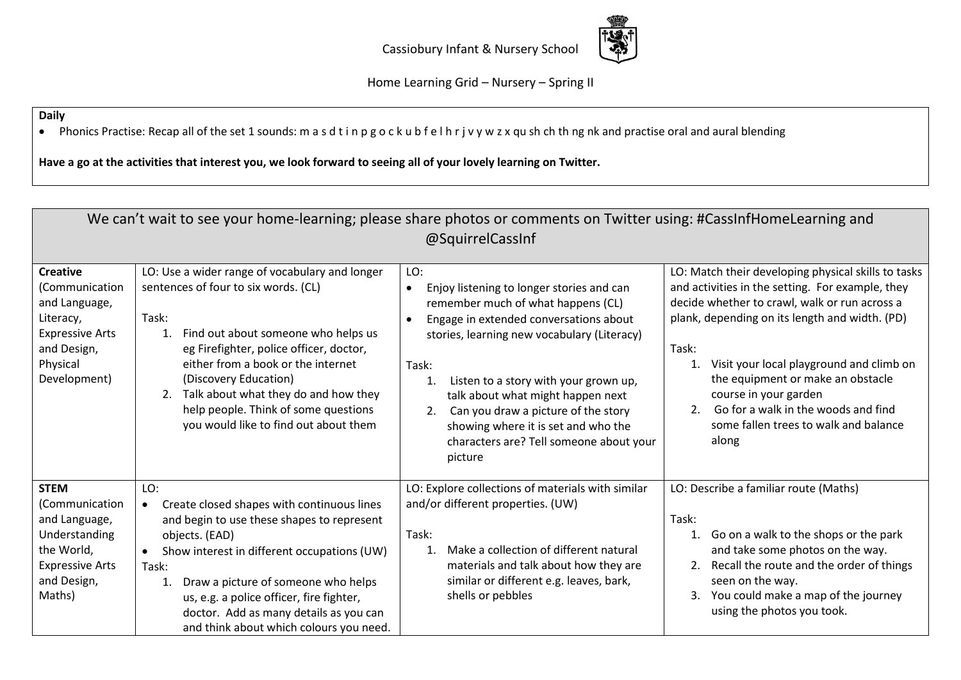

Home Learning Grid – Nursery – Spring II

## **Daily**

• Phonics Practise: Recap all of the set 1 sounds: m a s d t i n p g o c k u b f e l h r j v y w z x qu sh ch th ng nk and practise oral and aural blending

**Have a go at the activities that interest you, we look forward to seeing all of your lovely learning on Twitter.** 

| We can't wait to see your home-learning; please share photos or comments on Twitter using: #CassInfHomeLearning and<br>@SquirrelCassInf |                                                                                                                                                                                                                                                                                                                                                                                       |                                                                                                                                                                                                                                                                                                                                                                                                                                                  |                                                                                                                                                                                                                                                                                                                                                                                                                                    |  |
|-----------------------------------------------------------------------------------------------------------------------------------------|---------------------------------------------------------------------------------------------------------------------------------------------------------------------------------------------------------------------------------------------------------------------------------------------------------------------------------------------------------------------------------------|--------------------------------------------------------------------------------------------------------------------------------------------------------------------------------------------------------------------------------------------------------------------------------------------------------------------------------------------------------------------------------------------------------------------------------------------------|------------------------------------------------------------------------------------------------------------------------------------------------------------------------------------------------------------------------------------------------------------------------------------------------------------------------------------------------------------------------------------------------------------------------------------|--|
| <b>Creative</b><br>(Communication<br>and Language,<br>Literacy,<br><b>Expressive Arts</b><br>and Design,<br>Physical<br>Development)    | LO: Use a wider range of vocabulary and longer<br>sentences of four to six words. (CL)<br>Task:<br>Find out about someone who helps us<br>1.<br>eg Firefighter, police officer, doctor,<br>either from a book or the internet<br>(Discovery Education)<br>Talk about what they do and how they<br>2.<br>help people. Think of some questions<br>you would like to find out about them | LO:<br>Enjoy listening to longer stories and can<br>$\bullet$<br>remember much of what happens (CL)<br>Engage in extended conversations about<br>$\bullet$<br>stories, learning new vocabulary (Literacy)<br>Task:<br>Listen to a story with your grown up,<br>1.<br>talk about what might happen next<br>Can you draw a picture of the story<br>2.<br>showing where it is set and who the<br>characters are? Tell someone about your<br>picture | LO: Match their developing physical skills to tasks<br>and activities in the setting. For example, they<br>decide whether to crawl, walk or run across a<br>plank, depending on its length and width. (PD)<br>Task:<br>Visit your local playground and climb on<br>1.<br>the equipment or make an obstacle<br>course in your garden<br>Go for a walk in the woods and find<br>2.<br>some fallen trees to walk and balance<br>along |  |
| <b>STEM</b><br>(Communication<br>and Language,<br>Understanding<br>the World,<br><b>Expressive Arts</b><br>and Design,<br>Maths)        | LO:<br>Create closed shapes with continuous lines<br>$\bullet$<br>and begin to use these shapes to represent<br>objects. (EAD)<br>Show interest in different occupations (UW)<br>$\bullet$<br>Task:<br>Draw a picture of someone who helps<br>1.<br>us, e.g. a police officer, fire fighter,<br>doctor. Add as many details as you can<br>and think about which colours you need.     | LO: Explore collections of materials with similar<br>and/or different properties. (UW)<br>Task:<br>Make a collection of different natural<br>1 <sup>1</sup><br>materials and talk about how they are<br>similar or different e.g. leaves, bark,<br>shells or pebbles                                                                                                                                                                             | LO: Describe a familiar route (Maths)<br>Task:<br>Go on a walk to the shops or the park<br>1.<br>and take some photos on the way.<br>Recall the route and the order of things<br>2.<br>seen on the way.<br>You could make a map of the journey<br>3.<br>using the photos you took.                                                                                                                                                 |  |